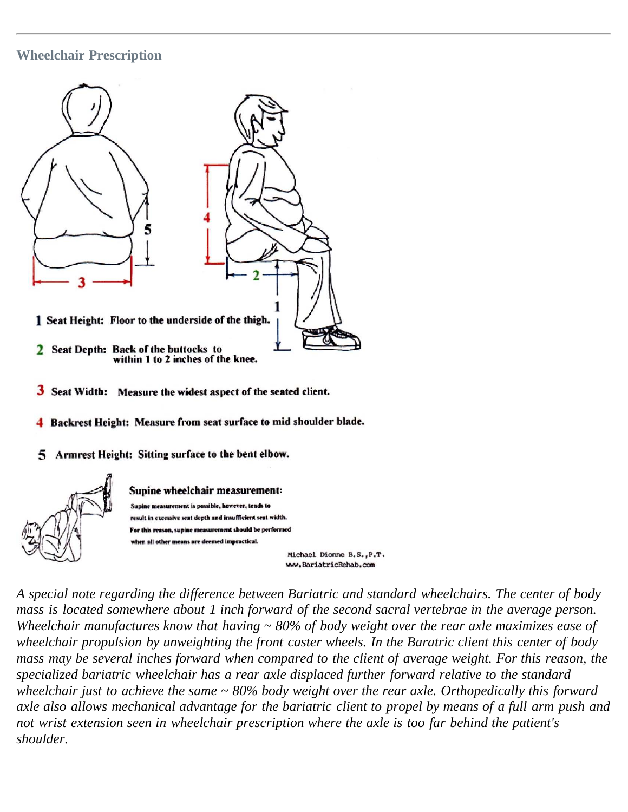# **Wheelchair Prescription**



- 3 Seat Width: Measure the widest aspect of the seated client.
- Backrest Height: Measure from seat surface to mid shoulder blade.
- Armrest Height: Sitting surface to the bent elbow.



Supine wheelchair measurement: Supine measurement is possible, however, tends to result in excessive sent depth and insufficient seat width. For this reason, supine measurement should be performed when all other means are deemed impractical.

Michael Dionne B.S., P.T. ww.BariatricRehab.com

*A special note regarding the difference between Bariatric and standard wheelchairs. The center of body mass is located somewhere about 1 inch forward of the second sacral vertebrae in the average person. Wheelchair manufactures know that having ~ 80% of body weight over the rear axle maximizes ease of wheelchair propulsion by unweighting the front caster wheels. In the Baratric client this center of body mass may be several inches forward when compared to the client of average weight. For this reason, the specialized bariatric wheelchair has a rear axle displaced further forward relative to the standard wheelchair just to achieve the same ~ 80% body weight over the rear axle. Orthopedically this forward axle also allows mechanical advantage for the bariatric client to propel by means of a full arm push and not wrist extension seen in wheelchair prescription where the axle is too far behind the patient's shoulder.*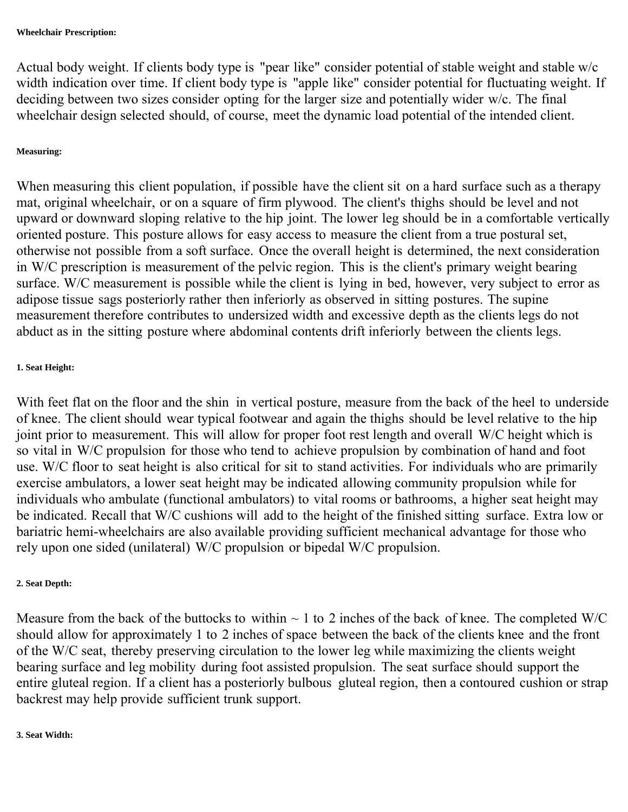Actual body weight. If clients body type is "pear like" consider potential of stable weight and stable w/c width indication over time. If client body type is "apple like" consider potential for fluctuating weight. If deciding between two sizes consider opting for the larger size and potentially wider w/c. The final wheelchair design selected should, of course, meet the dynamic load potential of the intended client.

#### **Measuring:**

When measuring this client population, if possible have the client sit on a hard surface such as a therapy mat, original wheelchair, or on a square of firm plywood. The client's thighs should be level and not upward or downward sloping relative to the hip joint. The lower leg should be in a comfortable vertically oriented posture. This posture allows for easy access to measure the client from a true postural set, otherwise not possible from a soft surface. Once the overall height is determined, the next consideration in W/C prescription is measurement of the pelvic region. This is the client's primary weight bearing surface. W/C measurement is possible while the client is lying in bed, however, very subject to error as adipose tissue sags posteriorly rather then inferiorly as observed in sitting postures. The supine measurement therefore contributes to undersized width and excessive depth as the clients legs do not abduct as in the sitting posture where abdominal contents drift inferiorly between the clients legs.

### **1. Seat Height:**

With feet flat on the floor and the shin in vertical posture, measure from the back of the heel to underside of knee. The client should wear typical footwear and again the thighs should be level relative to the hip joint prior to measurement. This will allow for proper foot rest length and overall W/C height which is so vital in W/C propulsion for those who tend to achieve propulsion by combination of hand and foot use. W/C floor to seat height is also critical for sit to stand activities. For individuals who are primarily exercise ambulators, a lower seat height may be indicated allowing community propulsion while for individuals who ambulate (functional ambulators) to vital rooms or bathrooms, a higher seat height may be indicated. Recall that W/C cushions will add to the height of the finished sitting surface. Extra low or bariatric hemi-wheelchairs are also available providing sufficient mechanical advantage for those who rely upon one sided (unilateral) W/C propulsion or bipedal W/C propulsion.

#### **2. Seat Depth:**

Measure from the back of the buttocks to within  $\sim$  1 to 2 inches of the back of knee. The completed W/C should allow for approximately 1 to 2 inches of space between the back of the clients knee and the front of the W/C seat, thereby preserving circulation to the lower leg while maximizing the clients weight bearing surface and leg mobility during foot assisted propulsion. The seat surface should support the entire gluteal region. If a client has a posteriorly bulbous gluteal region, then a contoured cushion or strap backrest may help provide sufficient trunk support.

#### **3. Seat Width:**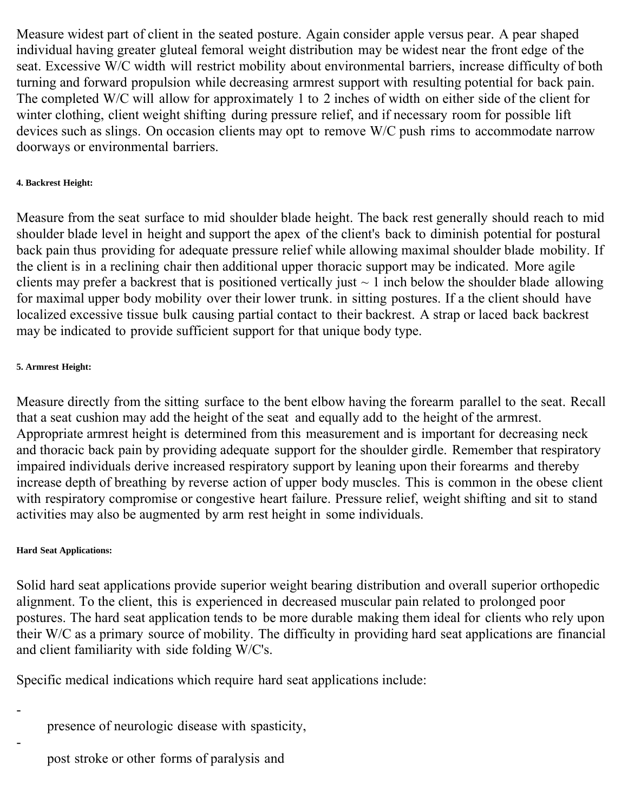Measure widest part of client in the seated posture. Again consider apple versus pear. A pear shaped individual having greater gluteal femoral weight distribution may be widest near the front edge of the seat. Excessive W/C width will restrict mobility about environmental barriers, increase difficulty of both turning and forward propulsion while decreasing armrest support with resulting potential for back pain. The completed W/C will allow for approximately 1 to 2 inches of width on either side of the client for winter clothing, client weight shifting during pressure relief, and if necessary room for possible lift devices such as slings. On occasion clients may opt to remove W/C push rims to accommodate narrow doorways or environmental barriers.

### **4. Backrest Height:**

Measure from the seat surface to mid shoulder blade height. The back rest generally should reach to mid shoulder blade level in height and support the apex of the client's back to diminish potential for postural back pain thus providing for adequate pressure relief while allowing maximal shoulder blade mobility. If the client is in a reclining chair then additional upper thoracic support may be indicated. More agile clients may prefer a backrest that is positioned vertically just  $\sim 1$  inch below the shoulder blade allowing for maximal upper body mobility over their lower trunk. in sitting postures. If a the client should have localized excessive tissue bulk causing partial contact to their backrest. A strap or laced back backrest may be indicated to provide sufficient support for that unique body type.

### **5. Armrest Height:**

Measure directly from the sitting surface to the bent elbow having the forearm parallel to the seat. Recall that a seat cushion may add the height of the seat and equally add to the height of the armrest. Appropriate armrest height is determined from this measurement and is important for decreasing neck and thoracic back pain by providing adequate support for the shoulder girdle. Remember that respiratory impaired individuals derive increased respiratory support by leaning upon their forearms and thereby increase depth of breathing by reverse action of upper body muscles. This is common in the obese client with respiratory compromise or congestive heart failure. Pressure relief, weight shifting and sit to stand activities may also be augmented by arm rest height in some individuals.

#### **Hard Seat Applications:**

-

-

Solid hard seat applications provide superior weight bearing distribution and overall superior orthopedic alignment. To the client, this is experienced in decreased muscular pain related to prolonged poor postures. The hard seat application tends to be more durable making them ideal for clients who rely upon their W/C as a primary source of mobility. The difficulty in providing hard seat applications are financial and client familiarity with side folding W/C's.

Specific medical indications which require hard seat applications include:

presence of neurologic disease with spasticity,

post stroke or other forms of paralysis and